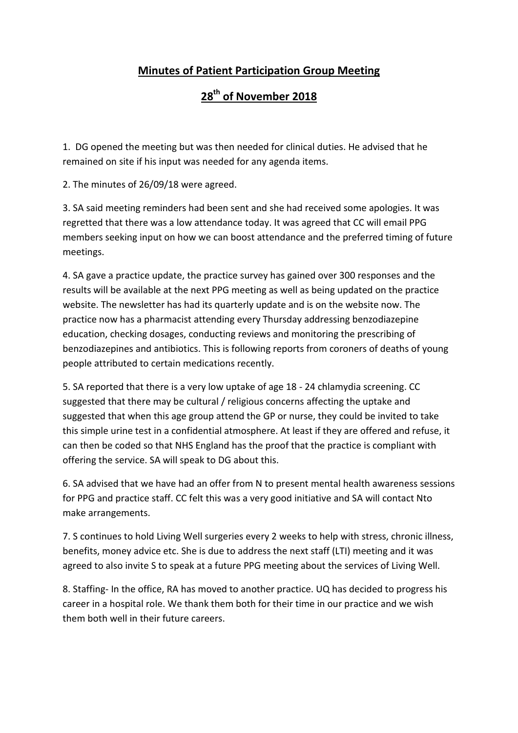## **Minutes of Patient Participation Group Meeting**

## **28th of November 2018**

1. DG opened the meeting but was then needed for clinical duties. He advised that he remained on site if his input was needed for any agenda items.

2. The minutes of 26/09/18 were agreed.

3. SA said meeting reminders had been sent and she had received some apologies. It was regretted that there was a low attendance today. It was agreed that CC will email PPG members seeking input on how we can boost attendance and the preferred timing of future meetings.

4. SA gave a practice update, the practice survey has gained over 300 responses and the results will be available at the next PPG meeting as well as being updated on the practice website. The newsletter has had its quarterly update and is on the website now. The practice now has a pharmacist attending every Thursday addressing benzodiazepine education, checking dosages, conducting reviews and monitoring the prescribing of benzodiazepines and antibiotics. This is following reports from coroners of deaths of young people attributed to certain medications recently.

5. SA reported that there is a very low uptake of age 18 - 24 chlamydia screening. CC suggested that there may be cultural / religious concerns affecting the uptake and suggested that when this age group attend the GP or nurse, they could be invited to take this simple urine test in a confidential atmosphere. At least if they are offered and refuse, it can then be coded so that NHS England has the proof that the practice is compliant with offering the service. SA will speak to DG about this.

6. SA advised that we have had an offer from N to present mental health awareness sessions for PPG and practice staff. CC felt this was a very good initiative and SA will contact Nto make arrangements.

7. S continues to hold Living Well surgeries every 2 weeks to help with stress, chronic illness, benefits, money advice etc. She is due to address the next staff (LTI) meeting and it was agreed to also invite S to speak at a future PPG meeting about the services of Living Well.

8. Staffing- In the office, RA has moved to another practice. UQ has decided to progress his career in a hospital role. We thank them both for their time in our practice and we wish them both well in their future careers.